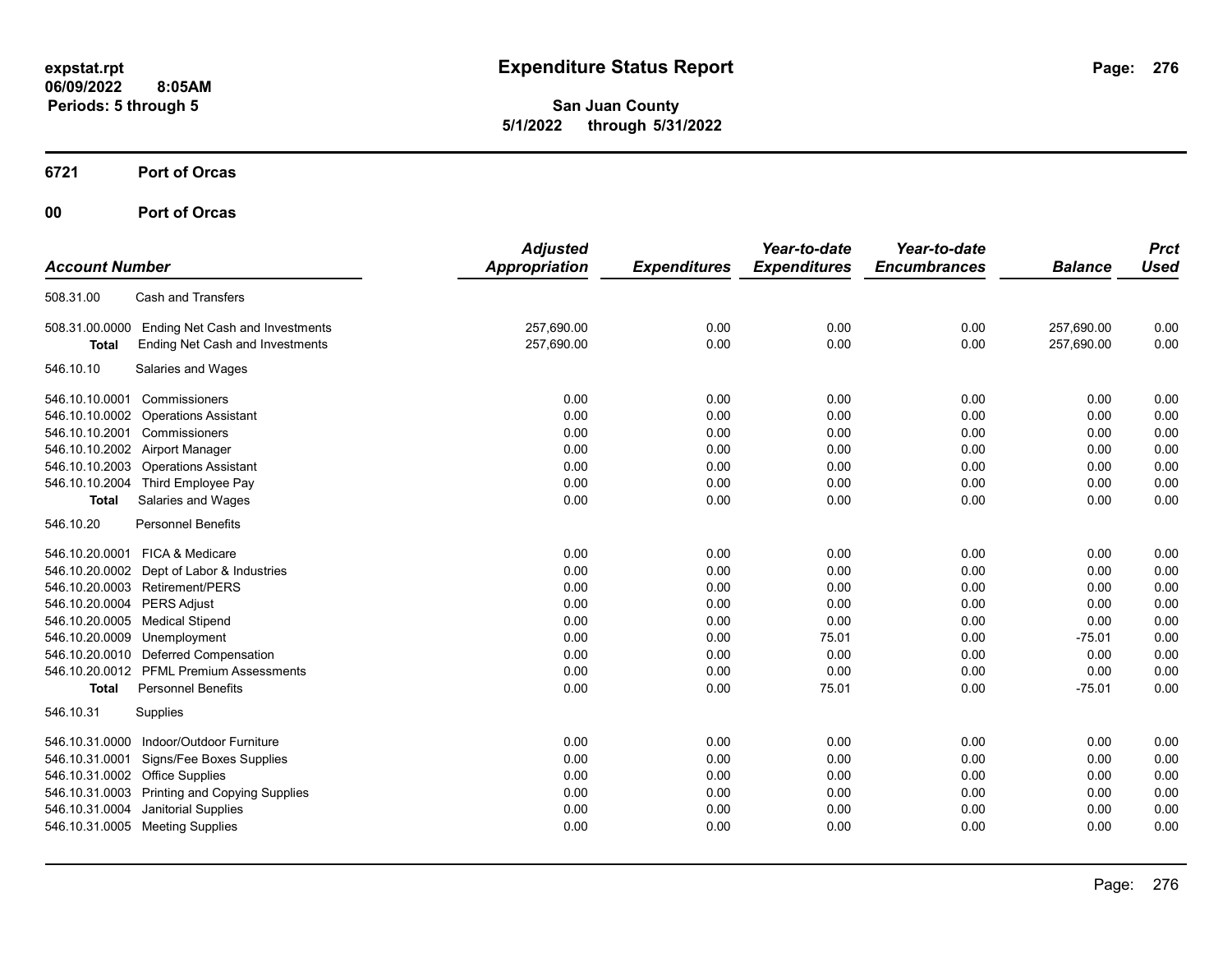### **6721 Port of Orcas**

| <b>Account Number</b>                                                                |                                                                                                                                                                                                                                                                                                                      | <b>Adjusted</b><br><b>Appropriation</b>                              | <b>Expenditures</b>                                                  | Year-to-date<br><b>Expenditures</b>                                    | Year-to-date<br><b>Encumbrances</b>                                  | <b>Balance</b>                                                               | <b>Prct</b><br><b>Used</b>                                           |
|--------------------------------------------------------------------------------------|----------------------------------------------------------------------------------------------------------------------------------------------------------------------------------------------------------------------------------------------------------------------------------------------------------------------|----------------------------------------------------------------------|----------------------------------------------------------------------|------------------------------------------------------------------------|----------------------------------------------------------------------|------------------------------------------------------------------------------|----------------------------------------------------------------------|
| 508.31.00                                                                            | Cash and Transfers                                                                                                                                                                                                                                                                                                   |                                                                      |                                                                      |                                                                        |                                                                      |                                                                              |                                                                      |
| 508.31.00.0000<br><b>Total</b>                                                       | <b>Ending Net Cash and Investments</b><br><b>Ending Net Cash and Investments</b>                                                                                                                                                                                                                                     | 257,690.00<br>257,690.00                                             | 0.00<br>0.00                                                         | 0.00<br>0.00                                                           | 0.00<br>0.00                                                         | 257,690.00<br>257,690.00                                                     | 0.00<br>0.00                                                         |
| 546.10.10                                                                            | Salaries and Wages                                                                                                                                                                                                                                                                                                   |                                                                      |                                                                      |                                                                        |                                                                      |                                                                              |                                                                      |
| 546.10.10.0001<br>546.10.10.0002<br>546.10.10.2001<br>546.10.10.2004<br><b>Total</b> | Commissioners<br><b>Operations Assistant</b><br>Commissioners<br>546.10.10.2002 Airport Manager<br>546.10.10.2003 Operations Assistant<br>Third Employee Pay<br>Salaries and Wages                                                                                                                                   | 0.00<br>0.00<br>0.00<br>0.00<br>0.00<br>0.00<br>0.00                 | 0.00<br>0.00<br>0.00<br>0.00<br>0.00<br>0.00<br>0.00                 | 0.00<br>0.00<br>0.00<br>0.00<br>0.00<br>0.00<br>0.00                   | 0.00<br>0.00<br>0.00<br>0.00<br>0.00<br>0.00<br>0.00                 | 0.00<br>0.00<br>0.00<br>0.00<br>0.00<br>0.00<br>0.00                         | 0.00<br>0.00<br>0.00<br>0.00<br>0.00<br>0.00<br>0.00                 |
| 546.10.20                                                                            | <b>Personnel Benefits</b>                                                                                                                                                                                                                                                                                            |                                                                      |                                                                      |                                                                        |                                                                      |                                                                              |                                                                      |
| 546.10.20.0004<br><b>Total</b>                                                       | 546.10.20.0001 FICA & Medicare<br>546.10.20.0002 Dept of Labor & Industries<br>546.10.20.0003 Retirement/PERS<br><b>PERS Adjust</b><br>546.10.20.0005 Medical Stipend<br>546.10.20.0009 Unemployment<br>546.10.20.0010 Deferred Compensation<br>546.10.20.0012 PFML Premium Assessments<br><b>Personnel Benefits</b> | 0.00<br>0.00<br>0.00<br>0.00<br>0.00<br>0.00<br>0.00<br>0.00<br>0.00 | 0.00<br>0.00<br>0.00<br>0.00<br>0.00<br>0.00<br>0.00<br>0.00<br>0.00 | 0.00<br>0.00<br>0.00<br>0.00<br>0.00<br>75.01<br>0.00<br>0.00<br>75.01 | 0.00<br>0.00<br>0.00<br>0.00<br>0.00<br>0.00<br>0.00<br>0.00<br>0.00 | 0.00<br>0.00<br>0.00<br>0.00<br>0.00<br>$-75.01$<br>0.00<br>0.00<br>$-75.01$ | 0.00<br>0.00<br>0.00<br>0.00<br>0.00<br>0.00<br>0.00<br>0.00<br>0.00 |
| 546.10.31                                                                            | Supplies                                                                                                                                                                                                                                                                                                             |                                                                      |                                                                      |                                                                        |                                                                      |                                                                              |                                                                      |
| 546.10.31.0000<br>546.10.31.0001<br>546.10.31.0004                                   | Indoor/Outdoor Furniture<br>Signs/Fee Boxes Supplies<br>546.10.31.0002 Office Supplies<br>546.10.31.0003 Printing and Copying Supplies<br><b>Janitorial Supplies</b><br>546.10.31.0005 Meeting Supplies                                                                                                              | 0.00<br>0.00<br>0.00<br>0.00<br>0.00<br>0.00                         | 0.00<br>0.00<br>0.00<br>0.00<br>0.00<br>0.00                         | 0.00<br>0.00<br>0.00<br>0.00<br>0.00<br>0.00                           | 0.00<br>0.00<br>0.00<br>0.00<br>0.00<br>0.00                         | 0.00<br>0.00<br>0.00<br>0.00<br>0.00<br>0.00                                 | 0.00<br>0.00<br>0.00<br>0.00<br>0.00<br>0.00                         |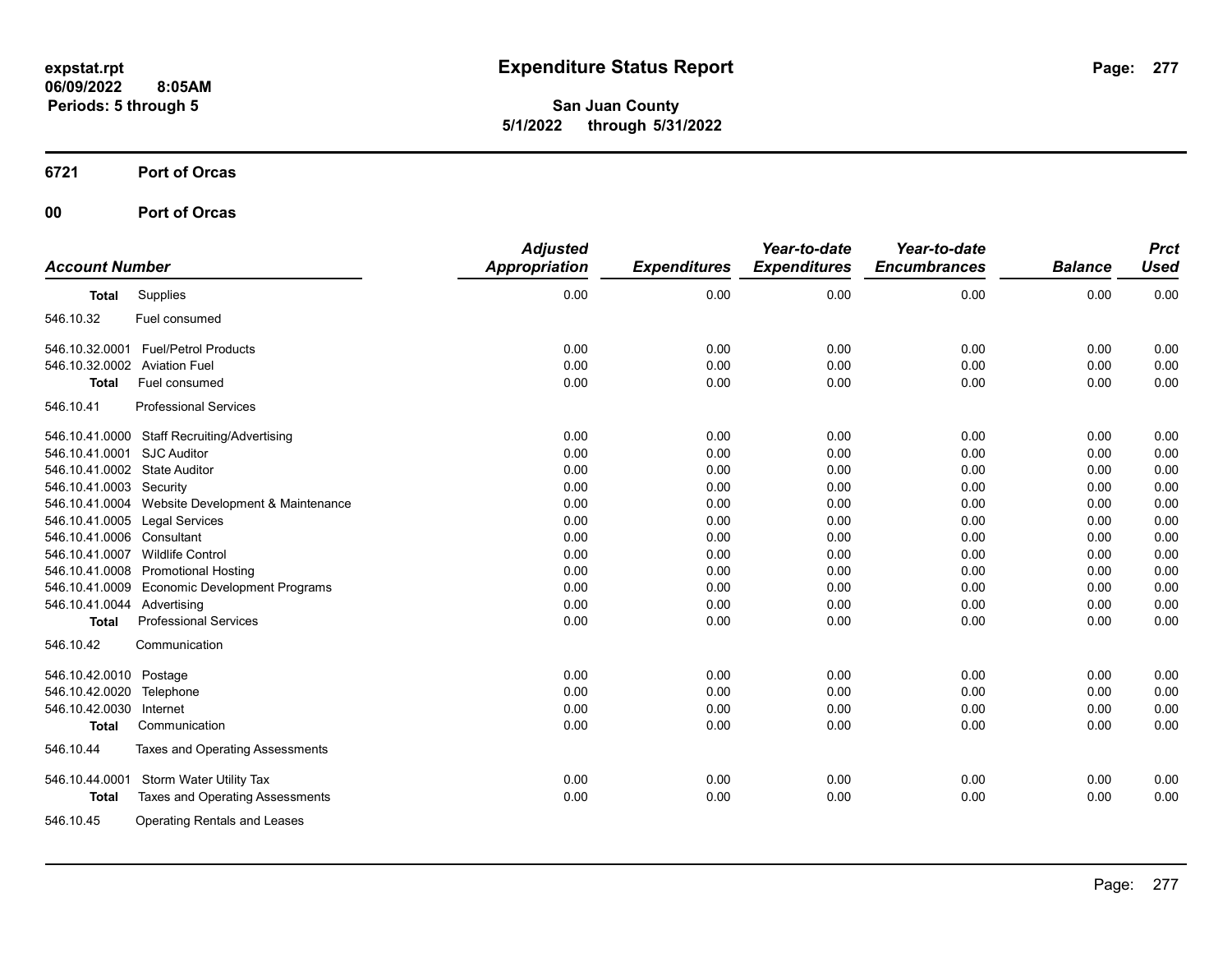### **6721 Port of Orcas**

| <b>Account Number</b>        |                                                  | <b>Adjusted</b><br><b>Appropriation</b> | <b>Expenditures</b> | Year-to-date<br><b>Expenditures</b> | Year-to-date<br><b>Encumbrances</b> | <b>Balance</b> | <b>Prct</b><br><b>Used</b> |
|------------------------------|--------------------------------------------------|-----------------------------------------|---------------------|-------------------------------------|-------------------------------------|----------------|----------------------------|
| Total                        | Supplies                                         | 0.00                                    | 0.00                | 0.00                                | 0.00                                | 0.00           | 0.00                       |
| 546.10.32                    | Fuel consumed                                    |                                         |                     |                                     |                                     |                |                            |
|                              | 546.10.32.0001 Fuel/Petrol Products              | 0.00                                    | 0.00                | 0.00                                | 0.00                                | 0.00           | 0.00                       |
| 546.10.32.0002               | <b>Aviation Fuel</b>                             | 0.00                                    | 0.00                | 0.00                                | 0.00                                | 0.00           | 0.00                       |
| <b>Total</b>                 | Fuel consumed                                    | 0.00                                    | 0.00                | 0.00                                | 0.00                                | 0.00           | 0.00                       |
| 546.10.41                    | <b>Professional Services</b>                     |                                         |                     |                                     |                                     |                |                            |
|                              | 546.10.41.0000 Staff Recruiting/Advertising      | 0.00                                    | 0.00                | 0.00                                | 0.00                                | 0.00           | 0.00                       |
| 546.10.41.0001 SJC Auditor   |                                                  | 0.00                                    | 0.00                | 0.00                                | 0.00                                | 0.00           | 0.00                       |
| 546.10.41.0002 State Auditor |                                                  | 0.00                                    | 0.00                | 0.00                                | 0.00                                | 0.00           | 0.00                       |
| 546.10.41.0003 Security      |                                                  | 0.00                                    | 0.00                | 0.00                                | 0.00                                | 0.00           | 0.00                       |
|                              | 546.10.41.0004 Website Development & Maintenance | 0.00                                    | 0.00                | 0.00                                | 0.00                                | 0.00           | 0.00                       |
|                              | 546.10.41.0005 Legal Services                    | 0.00                                    | 0.00                | 0.00                                | 0.00                                | 0.00           | 0.00                       |
| 546.10.41.0006 Consultant    |                                                  | 0.00                                    | 0.00                | 0.00                                | 0.00                                | 0.00           | 0.00                       |
|                              | 546.10.41.0007 Wildlife Control                  | 0.00                                    | 0.00                | 0.00                                | 0.00                                | 0.00           | 0.00                       |
|                              | 546.10.41.0008 Promotional Hosting               | 0.00                                    | 0.00                | 0.00                                | 0.00                                | 0.00           | 0.00                       |
|                              | 546.10.41.0009 Economic Development Programs     | 0.00                                    | 0.00                | 0.00                                | 0.00                                | 0.00           | 0.00                       |
| 546.10.41.0044 Advertising   |                                                  | 0.00                                    | 0.00                | 0.00                                | 0.00                                | 0.00           | 0.00                       |
| <b>Total</b>                 | <b>Professional Services</b>                     | 0.00                                    | 0.00                | 0.00                                | 0.00                                | 0.00           | 0.00                       |
| 546.10.42                    | Communication                                    |                                         |                     |                                     |                                     |                |                            |
| 546.10.42.0010 Postage       |                                                  | 0.00                                    | 0.00                | 0.00                                | 0.00                                | 0.00           | 0.00                       |
| 546.10.42.0020               | Telephone                                        | 0.00                                    | 0.00                | 0.00                                | 0.00                                | 0.00           | 0.00                       |
| 546.10.42.0030               | Internet                                         | 0.00                                    | 0.00                | 0.00                                | 0.00                                | 0.00           | 0.00                       |
| <b>Total</b>                 | Communication                                    | 0.00                                    | 0.00                | 0.00                                | 0.00                                | 0.00           | 0.00                       |
| 546.10.44                    | Taxes and Operating Assessments                  |                                         |                     |                                     |                                     |                |                            |
| 546.10.44.0001               | <b>Storm Water Utility Tax</b>                   | 0.00                                    | 0.00                | 0.00                                | 0.00                                | 0.00           | 0.00                       |
| <b>Total</b>                 | Taxes and Operating Assessments                  | 0.00                                    | 0.00                | 0.00                                | 0.00                                | 0.00           | 0.00                       |
| 546.10.45                    | <b>Operating Rentals and Leases</b>              |                                         |                     |                                     |                                     |                |                            |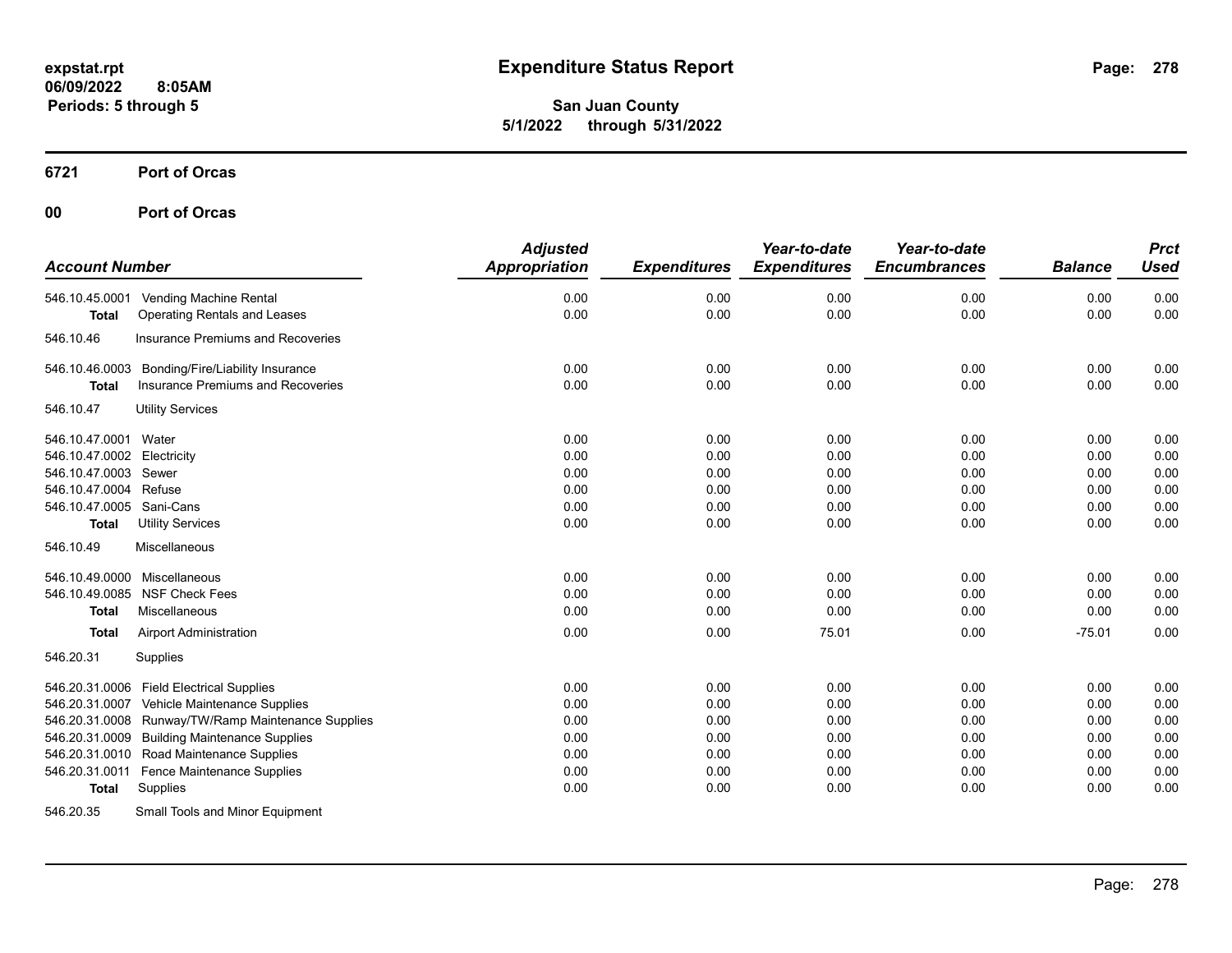### **6721 Port of Orcas**

| <b>Account Number</b>      |                                                    | <b>Adjusted</b><br>Appropriation | <b>Expenditures</b> | Year-to-date<br><b>Expenditures</b> | Year-to-date<br><b>Encumbrances</b> | <b>Balance</b> | <b>Prct</b><br>Used |
|----------------------------|----------------------------------------------------|----------------------------------|---------------------|-------------------------------------|-------------------------------------|----------------|---------------------|
| 546.10.45.0001             | <b>Vending Machine Rental</b>                      | 0.00                             | 0.00                | 0.00                                | 0.00                                | 0.00           | 0.00                |
| <b>Total</b>               | <b>Operating Rentals and Leases</b>                | 0.00                             | 0.00                | 0.00                                | 0.00                                | 0.00           | 0.00                |
| 546.10.46                  | Insurance Premiums and Recoveries                  |                                  |                     |                                     |                                     |                |                     |
|                            | 546.10.46.0003 Bonding/Fire/Liability Insurance    | 0.00                             | 0.00                | 0.00                                | 0.00                                | 0.00           | 0.00                |
| <b>Total</b>               | Insurance Premiums and Recoveries                  | 0.00                             | 0.00                | 0.00                                | 0.00                                | 0.00           | 0.00                |
| 546.10.47                  | <b>Utility Services</b>                            |                                  |                     |                                     |                                     |                |                     |
| 546.10.47.0001 Water       |                                                    | 0.00                             | 0.00                | 0.00                                | 0.00                                | 0.00           | 0.00                |
| 546.10.47.0002 Electricity |                                                    | 0.00                             | 0.00                | 0.00                                | 0.00                                | 0.00           | 0.00                |
| 546.10.47.0003 Sewer       |                                                    | 0.00                             | 0.00                | 0.00                                | 0.00                                | 0.00           | 0.00                |
| 546.10.47.0004 Refuse      |                                                    | 0.00                             | 0.00                | 0.00                                | 0.00                                | 0.00           | 0.00                |
| 546.10.47.0005 Sani-Cans   |                                                    | 0.00                             | 0.00                | 0.00                                | 0.00                                | 0.00           | 0.00                |
| <b>Total</b>               | <b>Utility Services</b>                            | 0.00                             | 0.00                | 0.00                                | 0.00                                | 0.00           | 0.00                |
| 546.10.49                  | Miscellaneous                                      |                                  |                     |                                     |                                     |                |                     |
| 546.10.49.0000             | Miscellaneous                                      | 0.00                             | 0.00                | 0.00                                | 0.00                                | 0.00           | 0.00                |
| 546.10.49.0085             | <b>NSF Check Fees</b>                              | 0.00                             | 0.00                | 0.00                                | 0.00                                | 0.00           | 0.00                |
| <b>Total</b>               | Miscellaneous                                      | 0.00                             | 0.00                | 0.00                                | 0.00                                | 0.00           | 0.00                |
| <b>Total</b>               | <b>Airport Administration</b>                      | 0.00                             | 0.00                | 75.01                               | 0.00                                | $-75.01$       | 0.00                |
| 546.20.31                  | Supplies                                           |                                  |                     |                                     |                                     |                |                     |
|                            | 546.20.31.0006 Field Electrical Supplies           | 0.00                             | 0.00                | 0.00                                | 0.00                                | 0.00           | 0.00                |
| 546.20.31.0007             | Vehicle Maintenance Supplies                       | 0.00                             | 0.00                | 0.00                                | 0.00                                | 0.00           | 0.00                |
|                            | 546.20.31.0008 Runway/TW/Ramp Maintenance Supplies | 0.00                             | 0.00                | 0.00                                | 0.00                                | 0.00           | 0.00                |
|                            | 546.20.31.0009 Building Maintenance Supplies       | 0.00                             | 0.00                | 0.00                                | 0.00                                | 0.00           | 0.00                |
|                            | 546.20.31.0010 Road Maintenance Supplies           | 0.00                             | 0.00                | 0.00                                | 0.00                                | 0.00           | 0.00                |
| 546.20.31.0011             | <b>Fence Maintenance Supplies</b>                  | 0.00                             | 0.00                | 0.00                                | 0.00                                | 0.00           | 0.00                |
| <b>Total</b>               | Supplies                                           | 0.00                             | 0.00                | 0.00                                | 0.00                                | 0.00           | 0.00                |
| 546.20.35                  | Small Tools and Minor Equipment                    |                                  |                     |                                     |                                     |                |                     |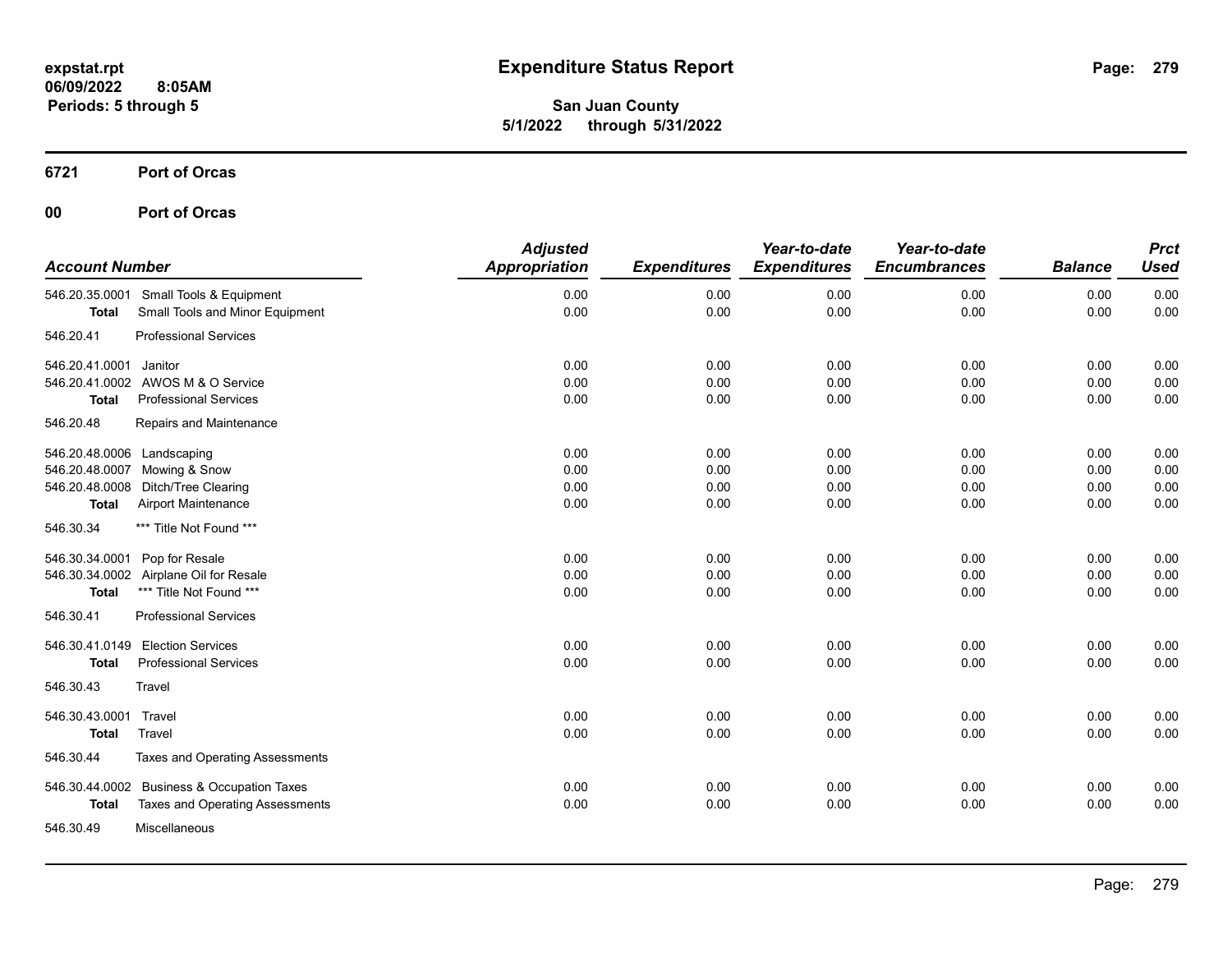### **6721 Port of Orcas**

| <b>Account Number</b>                                              |                                                                                                      | <b>Adjusted</b><br><b>Appropriation</b> | <b>Expenditures</b>          | Year-to-date<br><b>Expenditures</b> | Year-to-date<br><b>Encumbrances</b> | <b>Balance</b>               | <b>Prct</b><br><b>Used</b>   |
|--------------------------------------------------------------------|------------------------------------------------------------------------------------------------------|-----------------------------------------|------------------------------|-------------------------------------|-------------------------------------|------------------------------|------------------------------|
| 546.20.35.0001<br><b>Total</b>                                     | Small Tools & Equipment<br>Small Tools and Minor Equipment                                           | 0.00<br>0.00                            | 0.00<br>0.00                 | 0.00<br>0.00                        | 0.00<br>0.00                        | 0.00<br>0.00                 | 0.00<br>0.00                 |
| 546.20.41                                                          | <b>Professional Services</b>                                                                         |                                         |                              |                                     |                                     |                              |                              |
| 546.20.41.0001<br><b>Total</b>                                     | Janitor<br>546.20.41.0002 AWOS M & O Service<br><b>Professional Services</b>                         | 0.00<br>0.00<br>0.00                    | 0.00<br>0.00<br>0.00         | 0.00<br>0.00<br>0.00                | 0.00<br>0.00<br>0.00                | 0.00<br>0.00<br>0.00         | 0.00<br>0.00<br>0.00         |
| 546.20.48                                                          | Repairs and Maintenance                                                                              |                                         |                              |                                     |                                     |                              |                              |
| 546.20.48.0006<br>546.20.48.0007<br>546.20.48.0008<br><b>Total</b> | Landscaping<br>Mowing & Snow<br>Ditch/Tree Clearing<br>Airport Maintenance                           | 0.00<br>0.00<br>0.00<br>0.00            | 0.00<br>0.00<br>0.00<br>0.00 | 0.00<br>0.00<br>0.00<br>0.00        | 0.00<br>0.00<br>0.00<br>0.00        | 0.00<br>0.00<br>0.00<br>0.00 | 0.00<br>0.00<br>0.00<br>0.00 |
| 546.30.34                                                          | *** Title Not Found ***                                                                              |                                         |                              |                                     |                                     |                              |                              |
| 546.30.34.0001<br>546.30.34.0002<br><b>Total</b><br>546.30.41      | Pop for Resale<br>Airplane Oil for Resale<br>*** Title Not Found ***<br><b>Professional Services</b> | 0.00<br>0.00<br>0.00                    | 0.00<br>0.00<br>0.00         | 0.00<br>0.00<br>0.00                | 0.00<br>0.00<br>0.00                | 0.00<br>0.00<br>0.00         | 0.00<br>0.00<br>0.00         |
| 546.30.41.0149<br><b>Total</b><br>546.30.43                        | <b>Election Services</b><br><b>Professional Services</b><br>Travel                                   | 0.00<br>0.00                            | 0.00<br>0.00                 | 0.00<br>0.00                        | 0.00<br>0.00                        | 0.00<br>0.00                 | 0.00<br>0.00                 |
| 546.30.43.0001<br><b>Total</b>                                     | Travel<br>Travel                                                                                     | 0.00<br>0.00                            | 0.00<br>0.00                 | 0.00<br>0.00                        | 0.00<br>0.00                        | 0.00<br>0.00                 | 0.00<br>0.00                 |
| 546.30.44                                                          | <b>Taxes and Operating Assessments</b>                                                               |                                         |                              |                                     |                                     |                              |                              |
| 546.30.44.0002<br><b>Total</b><br>546.30.49                        | <b>Business &amp; Occupation Taxes</b><br>Taxes and Operating Assessments<br>Miscellaneous           | 0.00<br>0.00                            | 0.00<br>0.00                 | 0.00<br>0.00                        | 0.00<br>0.00                        | 0.00<br>0.00                 | 0.00<br>0.00                 |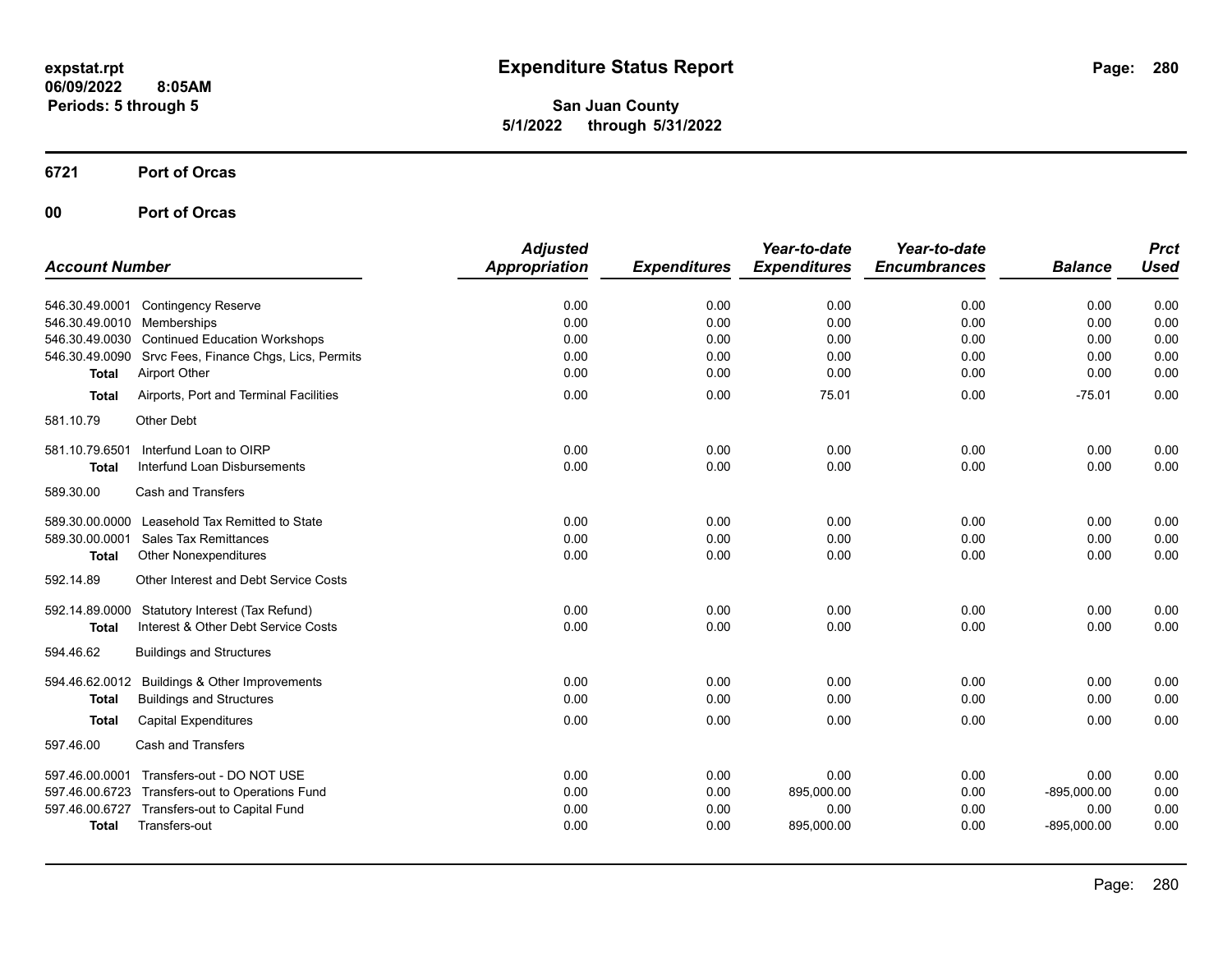### **6721 Port of Orcas**

| <b>Account Number</b>      |                                                       | <b>Adjusted</b><br><b>Appropriation</b> | <b>Expenditures</b> | Year-to-date<br><b>Expenditures</b> | Year-to-date<br><b>Encumbrances</b> | <b>Balance</b> | <b>Prct</b><br><b>Used</b> |
|----------------------------|-------------------------------------------------------|-----------------------------------------|---------------------|-------------------------------------|-------------------------------------|----------------|----------------------------|
|                            | 546.30.49.0001 Contingency Reserve                    | 0.00                                    | 0.00                | 0.00                                | 0.00                                | 0.00           | 0.00                       |
| 546.30.49.0010 Memberships |                                                       | 0.00                                    | 0.00                | 0.00                                | 0.00                                | 0.00           | 0.00                       |
|                            | 546.30.49.0030 Continued Education Workshops          | 0.00                                    | 0.00                | 0.00                                | 0.00                                | 0.00           | 0.00                       |
|                            | 546.30.49.0090 Srvc Fees, Finance Chgs, Lics, Permits | 0.00                                    | 0.00                | 0.00                                | 0.00                                | 0.00           | 0.00                       |
| <b>Total</b>               | <b>Airport Other</b>                                  | 0.00                                    | 0.00                | 0.00                                | 0.00                                | 0.00           | 0.00                       |
| <b>Total</b>               | Airports, Port and Terminal Facilities                | 0.00                                    | 0.00                | 75.01                               | 0.00                                | $-75.01$       | 0.00                       |
| 581.10.79                  | Other Debt                                            |                                         |                     |                                     |                                     |                |                            |
| 581.10.79.6501             | Interfund Loan to OIRP                                | 0.00                                    | 0.00                | 0.00                                | 0.00                                | 0.00           | 0.00                       |
| <b>Total</b>               | Interfund Loan Disbursements                          | 0.00                                    | 0.00                | 0.00                                | 0.00                                | 0.00           | 0.00                       |
| 589.30.00                  | Cash and Transfers                                    |                                         |                     |                                     |                                     |                |                            |
| 589.30.00.0000             | Leasehold Tax Remitted to State                       | 0.00                                    | 0.00                | 0.00                                | 0.00                                | 0.00           | 0.00                       |
| 589.30.00.0001             | <b>Sales Tax Remittances</b>                          | 0.00                                    | 0.00                | 0.00                                | 0.00                                | 0.00           | 0.00                       |
| <b>Total</b>               | <b>Other Nonexpenditures</b>                          | 0.00                                    | 0.00                | 0.00                                | 0.00                                | 0.00           | 0.00                       |
| 592.14.89                  | Other Interest and Debt Service Costs                 |                                         |                     |                                     |                                     |                |                            |
| 592.14.89.0000             | Statutory Interest (Tax Refund)                       | 0.00                                    | 0.00                | 0.00                                | 0.00                                | 0.00           | 0.00                       |
| <b>Total</b>               | Interest & Other Debt Service Costs                   | 0.00                                    | 0.00                | 0.00                                | 0.00                                | 0.00           | 0.00                       |
| 594.46.62                  | <b>Buildings and Structures</b>                       |                                         |                     |                                     |                                     |                |                            |
|                            | 594.46.62.0012 Buildings & Other Improvements         | 0.00                                    | 0.00                | 0.00                                | 0.00                                | 0.00           | 0.00                       |
| <b>Total</b>               | <b>Buildings and Structures</b>                       | 0.00                                    | 0.00                | 0.00                                | 0.00                                | 0.00           | 0.00                       |
| <b>Total</b>               | <b>Capital Expenditures</b>                           | 0.00                                    | 0.00                | 0.00                                | 0.00                                | 0.00           | 0.00                       |
| 597.46.00                  | <b>Cash and Transfers</b>                             |                                         |                     |                                     |                                     |                |                            |
| 597.46.00.0001             | Transfers-out - DO NOT USE                            | 0.00                                    | 0.00                | 0.00                                | 0.00                                | 0.00           | 0.00                       |
|                            | 597.46.00.6723 Transfers-out to Operations Fund       | 0.00                                    | 0.00                | 895,000.00                          | 0.00                                | $-895,000.00$  | 0.00                       |
| 597.46.00.6727             | Transfers-out to Capital Fund                         | 0.00                                    | 0.00                | 0.00                                | 0.00                                | 0.00           | 0.00                       |
| <b>Total</b>               | Transfers-out                                         | 0.00                                    | 0.00                | 895,000.00                          | 0.00                                | $-895,000.00$  | 0.00                       |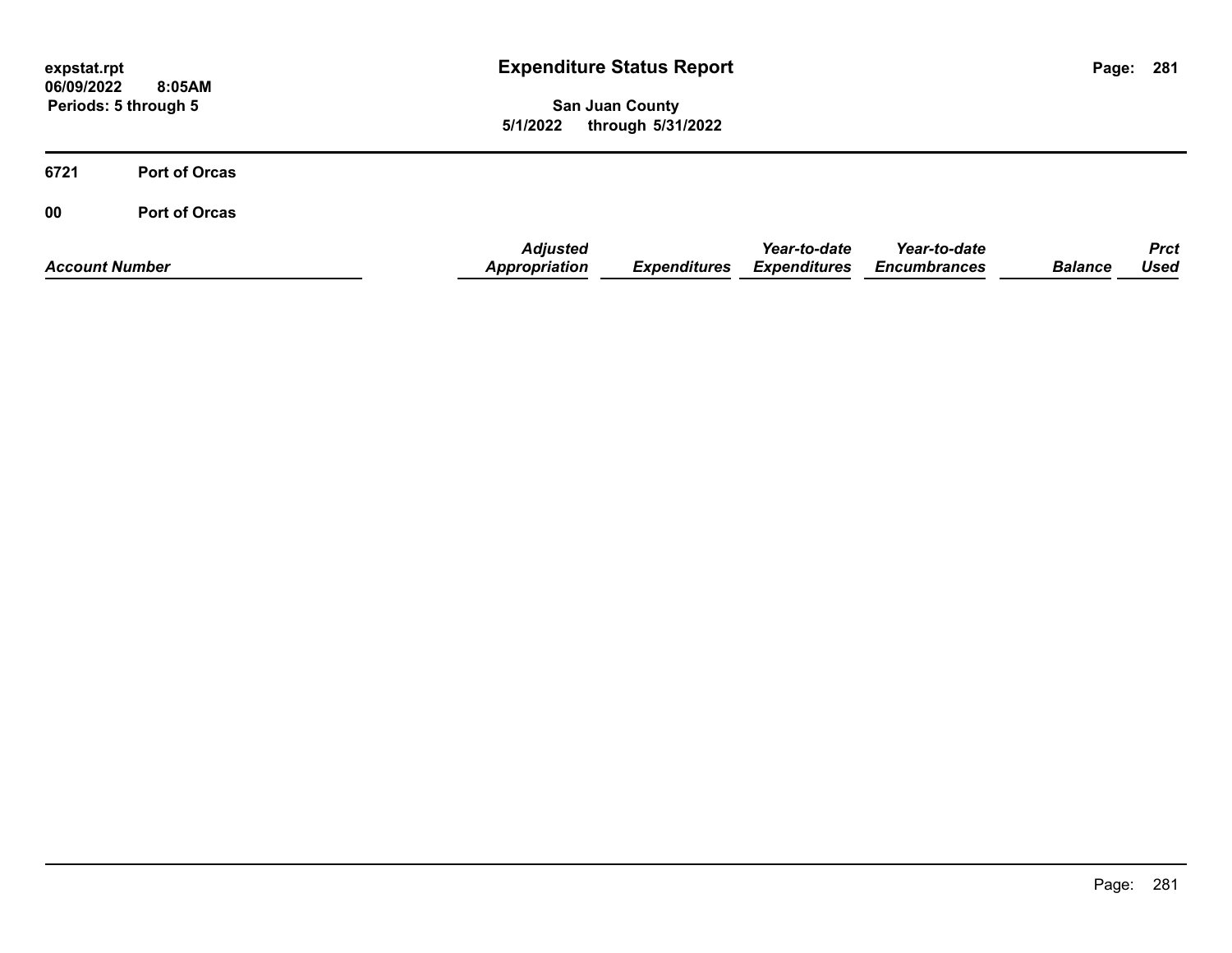| expstat.rpt<br>06/09/2022<br>8:05AM<br>Periods: 5 through 5 |                      |                                  | <b>Expenditure Status Report</b>            |                                     |                                     |                |                     |
|-------------------------------------------------------------|----------------------|----------------------------------|---------------------------------------------|-------------------------------------|-------------------------------------|----------------|---------------------|
|                                                             |                      | 5/1/2022                         | <b>San Juan County</b><br>through 5/31/2022 |                                     |                                     |                |                     |
| 6721                                                        | <b>Port of Orcas</b> |                                  |                                             |                                     |                                     |                |                     |
| 00                                                          | <b>Port of Orcas</b> |                                  |                                             |                                     |                                     |                |                     |
| <b>Account Number</b>                                       |                      | <b>Adjusted</b><br>Appropriation | <b>Expenditures</b>                         | Year-to-date<br><b>Expenditures</b> | Year-to-date<br><b>Encumbrances</b> | <b>Balance</b> | <b>Prct</b><br>Used |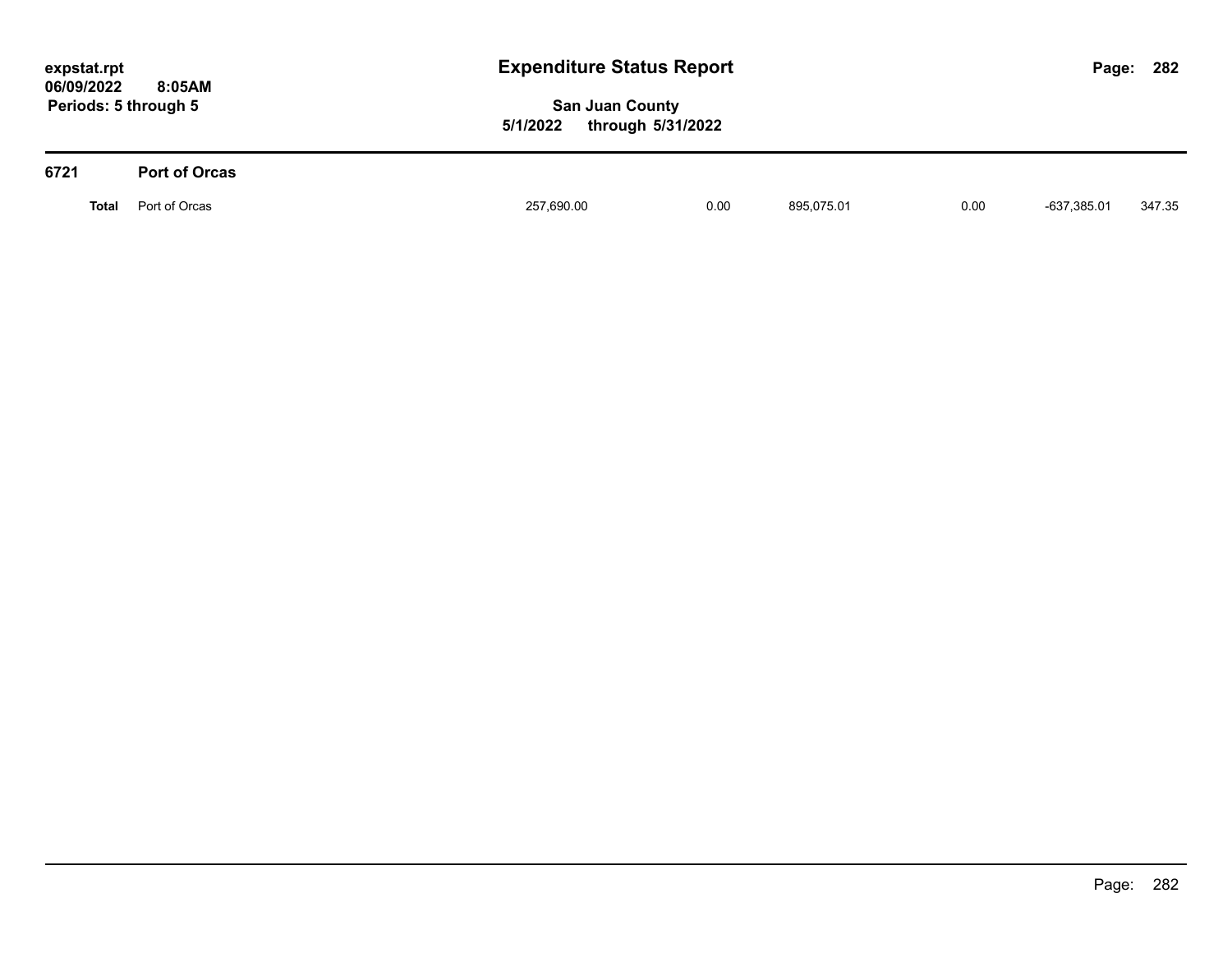| expstat.rpt                                  |                      | <b>Expenditure Status Report</b>                        | Page:      | 282  |             |        |
|----------------------------------------------|----------------------|---------------------------------------------------------|------------|------|-------------|--------|
| 06/09/2022<br>8:05AM<br>Periods: 5 through 5 |                      | <b>San Juan County</b><br>through 5/31/2022<br>5/1/2022 |            |      |             |        |
| 6721                                         | <b>Port of Orcas</b> |                                                         |            |      |             |        |
| <b>Total</b>                                 | Port of Orcas        | 0.00<br>257,690.00                                      | 895,075.01 | 0.00 | -637,385.01 | 347.35 |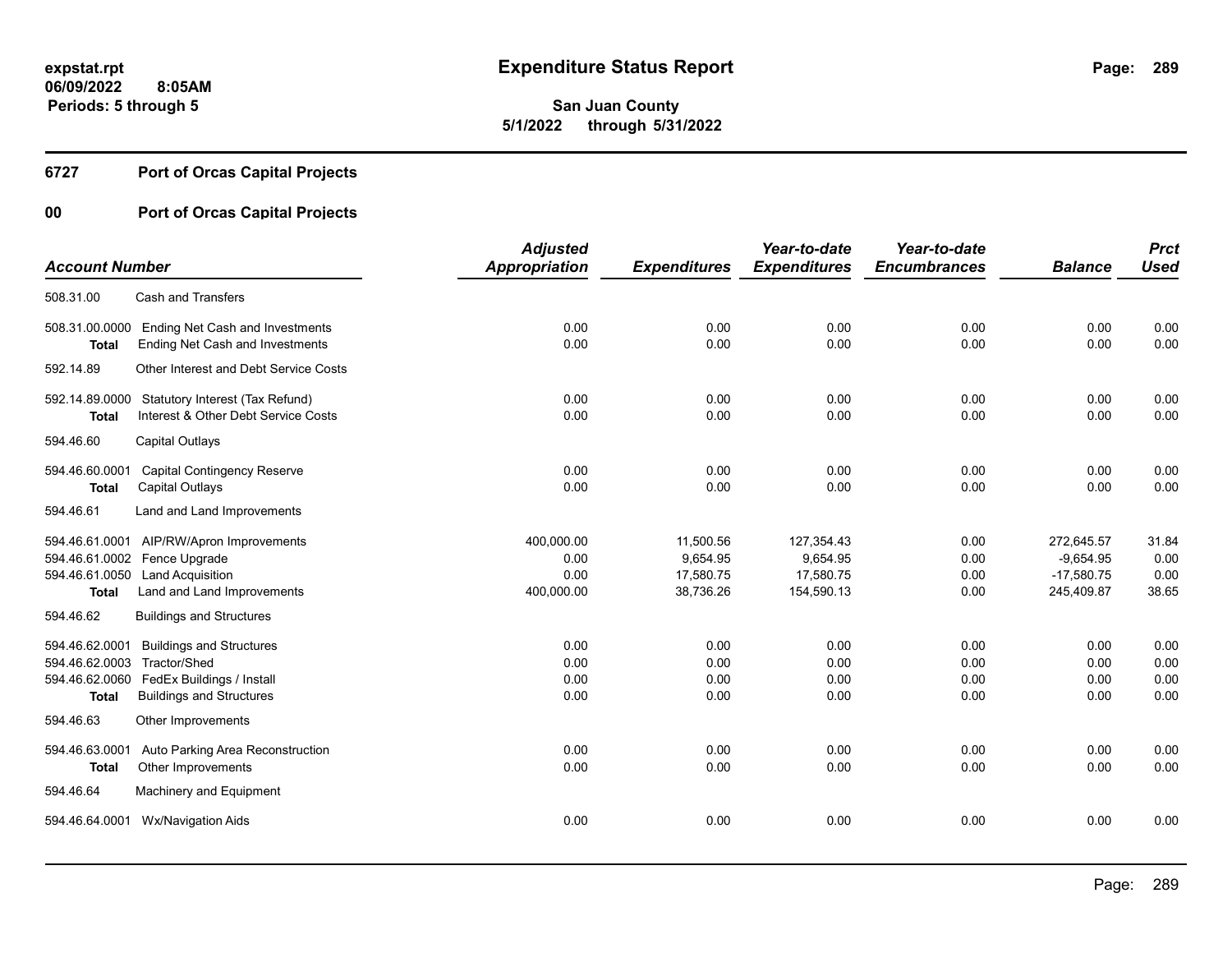# **6727 Port of Orcas Capital Projects**

### **00 Port of Orcas Capital Projects**

|                       |                                        | <b>Adjusted</b>      |                     | Year-to-date        | Year-to-date        |                | <b>Prct</b> |
|-----------------------|----------------------------------------|----------------------|---------------------|---------------------|---------------------|----------------|-------------|
| <b>Account Number</b> |                                        | <b>Appropriation</b> | <b>Expenditures</b> | <b>Expenditures</b> | <b>Encumbrances</b> | <b>Balance</b> | <b>Used</b> |
| 508.31.00             | <b>Cash and Transfers</b>              |                      |                     |                     |                     |                |             |
| 508.31.00.0000        | <b>Ending Net Cash and Investments</b> | 0.00                 | 0.00                | 0.00                | 0.00                | 0.00           | 0.00        |
| <b>Total</b>          | <b>Ending Net Cash and Investments</b> | 0.00                 | 0.00                | 0.00                | 0.00                | 0.00           | 0.00        |
| 592.14.89             | Other Interest and Debt Service Costs  |                      |                     |                     |                     |                |             |
| 592.14.89.0000        | Statutory Interest (Tax Refund)        | 0.00                 | 0.00                | 0.00                | 0.00                | 0.00           | 0.00        |
| <b>Total</b>          | Interest & Other Debt Service Costs    | 0.00                 | 0.00                | 0.00                | 0.00                | 0.00           | 0.00        |
| 594.46.60             | Capital Outlays                        |                      |                     |                     |                     |                |             |
| 594.46.60.0001        | <b>Capital Contingency Reserve</b>     | 0.00                 | 0.00                | 0.00                | 0.00                | 0.00           | 0.00        |
| <b>Total</b>          | Capital Outlays                        | 0.00                 | 0.00                | 0.00                | 0.00                | 0.00           | 0.00        |
| 594.46.61             | Land and Land Improvements             |                      |                     |                     |                     |                |             |
| 594.46.61.0001        | AIP/RW/Apron Improvements              | 400,000.00           | 11,500.56           | 127,354.43          | 0.00                | 272,645.57     | 31.84       |
| 594.46.61.0002        | Fence Upgrade                          | 0.00                 | 9,654.95            | 9,654.95            | 0.00                | $-9,654.95$    | 0.00        |
| 594.46.61.0050        | <b>Land Acquisition</b>                | 0.00                 | 17,580.75           | 17,580.75           | 0.00                | $-17,580.75$   | 0.00        |
| <b>Total</b>          | Land and Land Improvements             | 400,000.00           | 38,736.26           | 154,590.13          | 0.00                | 245,409.87     | 38.65       |
| 594.46.62             | <b>Buildings and Structures</b>        |                      |                     |                     |                     |                |             |
| 594.46.62.0001        | <b>Buildings and Structures</b>        | 0.00                 | 0.00                | 0.00                | 0.00                | 0.00           | 0.00        |
| 594.46.62.0003        | Tractor/Shed                           | 0.00                 | 0.00                | 0.00                | 0.00                | 0.00           | 0.00        |
| 594.46.62.0060        | FedEx Buildings / Install              | 0.00                 | 0.00                | 0.00                | 0.00                | 0.00           | 0.00        |
| <b>Total</b>          | <b>Buildings and Structures</b>        | 0.00                 | 0.00                | 0.00                | 0.00                | 0.00           | 0.00        |
| 594.46.63             | Other Improvements                     |                      |                     |                     |                     |                |             |
| 594.46.63.0001        | Auto Parking Area Reconstruction       | 0.00                 | 0.00                | 0.00                | 0.00                | 0.00           | 0.00        |
| <b>Total</b>          | Other Improvements                     | 0.00                 | 0.00                | 0.00                | 0.00                | 0.00           | 0.00        |
| 594.46.64             | Machinery and Equipment                |                      |                     |                     |                     |                |             |
| 594.46.64.0001        | Wx/Navigation Aids                     | 0.00                 | 0.00                | 0.00                | 0.00                | 0.00           | 0.00        |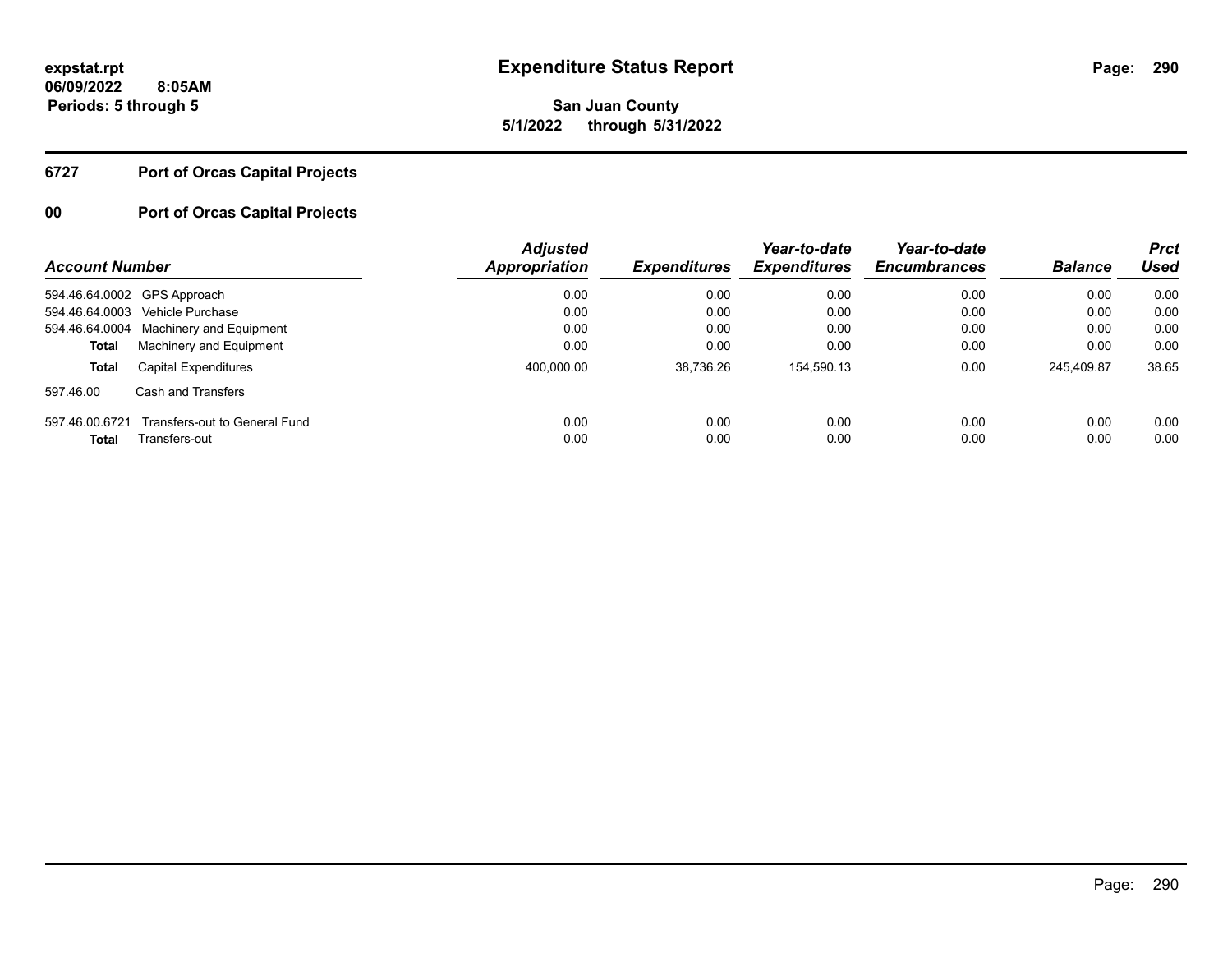# **6727 Port of Orcas Capital Projects**

# **00 Port of Orcas Capital Projects**

| <b>Account Number</b> |                                        | Adjusted<br><b>Appropriation</b> | <b>Expenditures</b> | Year-to-date<br><b>Expenditures</b> | Year-to-date<br><b>Encumbrances</b> | <b>Balance</b> | <b>Prct</b><br><b>Used</b> |
|-----------------------|----------------------------------------|----------------------------------|---------------------|-------------------------------------|-------------------------------------|----------------|----------------------------|
|                       | 594.46.64.0002 GPS Approach            | 0.00                             | 0.00                | 0.00                                | 0.00                                | 0.00           | 0.00                       |
|                       | 594.46.64.0003 Vehicle Purchase        | 0.00                             | 0.00                | 0.00                                | 0.00                                | 0.00           | 0.00                       |
|                       | 594.46.64.0004 Machinery and Equipment | 0.00                             | 0.00                | 0.00                                | 0.00                                | 0.00           | 0.00                       |
| Total                 | Machinery and Equipment                | 0.00                             | 0.00                | 0.00                                | 0.00                                | 0.00           | 0.00                       |
| Total                 | Capital Expenditures                   | 400.000.00                       | 38,736.26           | 154.590.13                          | 0.00                                | 245,409.87     | 38.65                      |
| 597.46.00             | Cash and Transfers                     |                                  |                     |                                     |                                     |                |                            |
| 597.46.00.6721        | Transfers-out to General Fund          | 0.00                             | 0.00                | 0.00                                | 0.00                                | 0.00           | 0.00                       |
| Total                 | Transfers-out                          | 0.00                             | 0.00                | 0.00                                | 0.00                                | 0.00           | 0.00                       |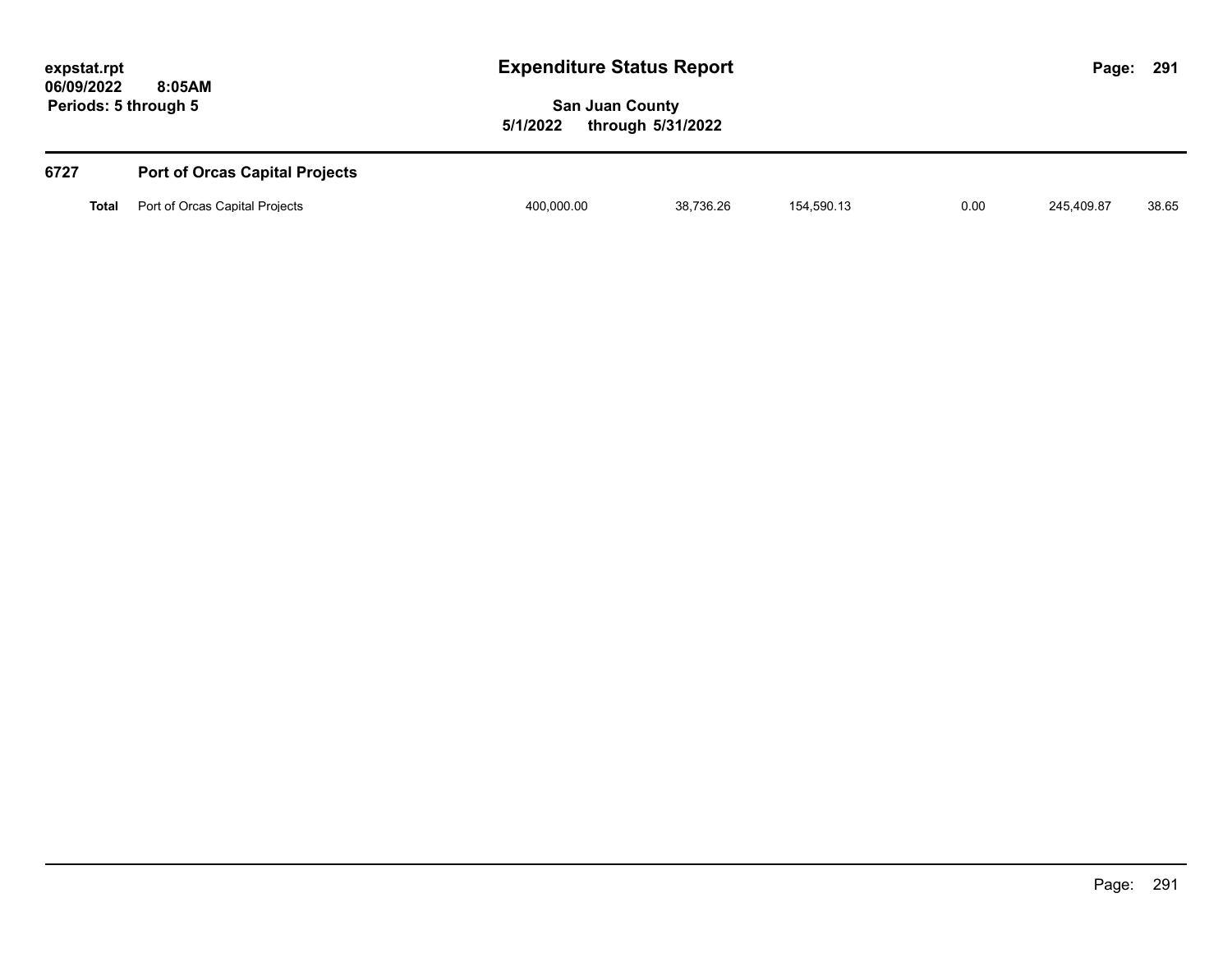| expstat.rpt          | <b>Expenditure Status Report</b> | 291<br>Page: |
|----------------------|----------------------------------|--------------|
| 8:05AM<br>06/09/2022 |                                  |              |
| Periods: 5 through 5 | <b>San Juan County</b>           |              |
|                      | through 5/31/2022<br>5/1/2022    |              |
|                      |                                  |              |
|                      |                                  |              |

| 6727 | <b>Port of Orcas Capital Projects</b>       |            |           |            |      |            |       |
|------|---------------------------------------------|------------|-----------|------------|------|------------|-------|
|      | <b>Total</b> Port of Orcas Capital Projects | 400,000.00 | 38.736.26 | 154.590.13 | 0.00 | 245.409.87 | 38.65 |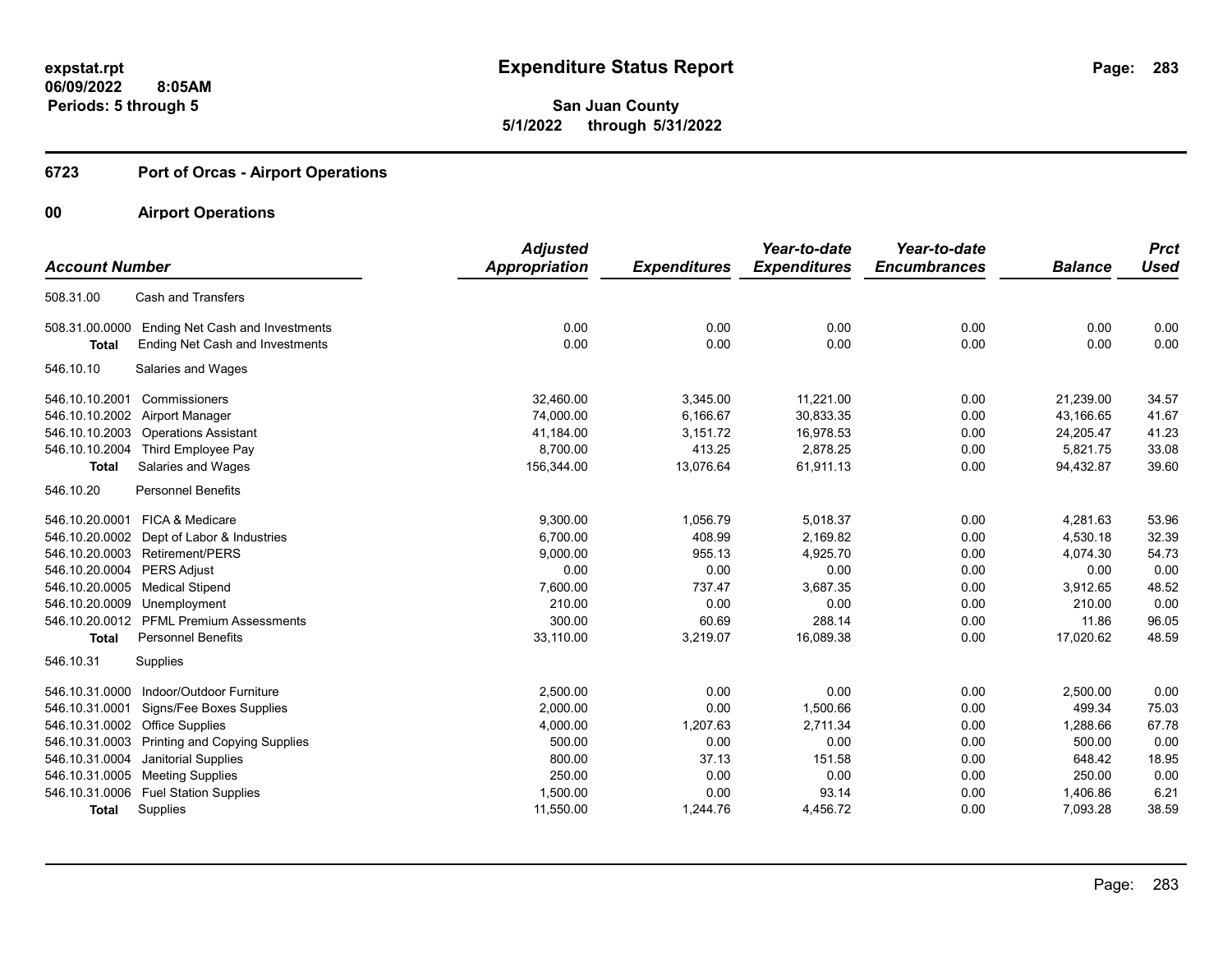# **6723 Port of Orcas - Airport Operations**

|                            |                                              | <b>Adjusted</b>      |                     | Year-to-date        | Year-to-date        |                | <b>Prct</b> |
|----------------------------|----------------------------------------------|----------------------|---------------------|---------------------|---------------------|----------------|-------------|
| <b>Account Number</b>      |                                              | <b>Appropriation</b> | <b>Expenditures</b> | <b>Expenditures</b> | <b>Encumbrances</b> | <b>Balance</b> | <b>Used</b> |
| 508.31.00                  | <b>Cash and Transfers</b>                    |                      |                     |                     |                     |                |             |
| 508.31.00.0000             | Ending Net Cash and Investments              | 0.00                 | 0.00                | 0.00                | 0.00                | 0.00           | 0.00        |
| <b>Total</b>               | <b>Ending Net Cash and Investments</b>       | 0.00                 | 0.00                | 0.00                | 0.00                | 0.00           | 0.00        |
| 546.10.10                  | Salaries and Wages                           |                      |                     |                     |                     |                |             |
| 546.10.10.2001             | Commissioners                                | 32,460.00            | 3,345.00            | 11,221.00           | 0.00                | 21,239.00      | 34.57       |
| 546.10.10.2002             | Airport Manager                              | 74,000.00            | 6,166.67            | 30,833.35           | 0.00                | 43,166.65      | 41.67       |
| 546.10.10.2003             | <b>Operations Assistant</b>                  | 41,184.00            | 3,151.72            | 16,978.53           | 0.00                | 24,205.47      | 41.23       |
| 546.10.10.2004             | Third Employee Pay                           | 8,700.00             | 413.25              | 2,878.25            | 0.00                | 5,821.75       | 33.08       |
| <b>Total</b>               | Salaries and Wages                           | 156,344.00           | 13,076.64           | 61,911.13           | 0.00                | 94,432.87      | 39.60       |
| 546.10.20                  | <b>Personnel Benefits</b>                    |                      |                     |                     |                     |                |             |
|                            | 546.10.20.0001 FICA & Medicare               | 9,300.00             | 1,056.79            | 5,018.37            | 0.00                | 4,281.63       | 53.96       |
|                            | 546.10.20.0002 Dept of Labor & Industries    | 6.700.00             | 408.99              | 2,169.82            | 0.00                | 4,530.18       | 32.39       |
|                            | 546.10.20.0003 Retirement/PERS               | 9,000.00             | 955.13              | 4,925.70            | 0.00                | 4,074.30       | 54.73       |
| 546.10.20.0004 PERS Adjust |                                              | 0.00                 | 0.00                | 0.00                | 0.00                | 0.00           | 0.00        |
|                            | 546.10.20.0005 Medical Stipend               | 7,600.00             | 737.47              | 3,687.35            | 0.00                | 3,912.65       | 48.52       |
| 546.10.20.0009             | Unemployment                                 | 210.00               | 0.00                | 0.00                | 0.00                | 210.00         | 0.00        |
|                            | 546.10.20.0012 PFML Premium Assessments      | 300.00               | 60.69               | 288.14              | 0.00                | 11.86          | 96.05       |
| <b>Total</b>               | <b>Personnel Benefits</b>                    | 33,110.00            | 3,219.07            | 16,089.38           | 0.00                | 17,020.62      | 48.59       |
| 546.10.31                  | Supplies                                     |                      |                     |                     |                     |                |             |
| 546.10.31.0000             | Indoor/Outdoor Furniture                     | 2,500.00             | 0.00                | 0.00                | 0.00                | 2,500.00       | 0.00        |
| 546.10.31.0001             | Signs/Fee Boxes Supplies                     | 2,000.00             | 0.00                | 1,500.66            | 0.00                | 499.34         | 75.03       |
|                            | 546.10.31.0002 Office Supplies               | 4,000.00             | 1,207.63            | 2,711.34            | 0.00                | 1,288.66       | 67.78       |
|                            | 546.10.31.0003 Printing and Copying Supplies | 500.00               | 0.00                | 0.00                | 0.00                | 500.00         | 0.00        |
| 546.10.31.0004             | Janitorial Supplies                          | 800.00               | 37.13               | 151.58              | 0.00                | 648.42         | 18.95       |
| 546.10.31.0005             | <b>Meeting Supplies</b>                      | 250.00               | 0.00                | 0.00                | 0.00                | 250.00         | 0.00        |
|                            | 546.10.31.0006 Fuel Station Supplies         | 1,500.00             | 0.00                | 93.14               | 0.00                | 1,406.86       | 6.21        |
| Total                      | Supplies                                     | 11,550.00            | 1,244.76            | 4,456.72            | 0.00                | 7,093.28       | 38.59       |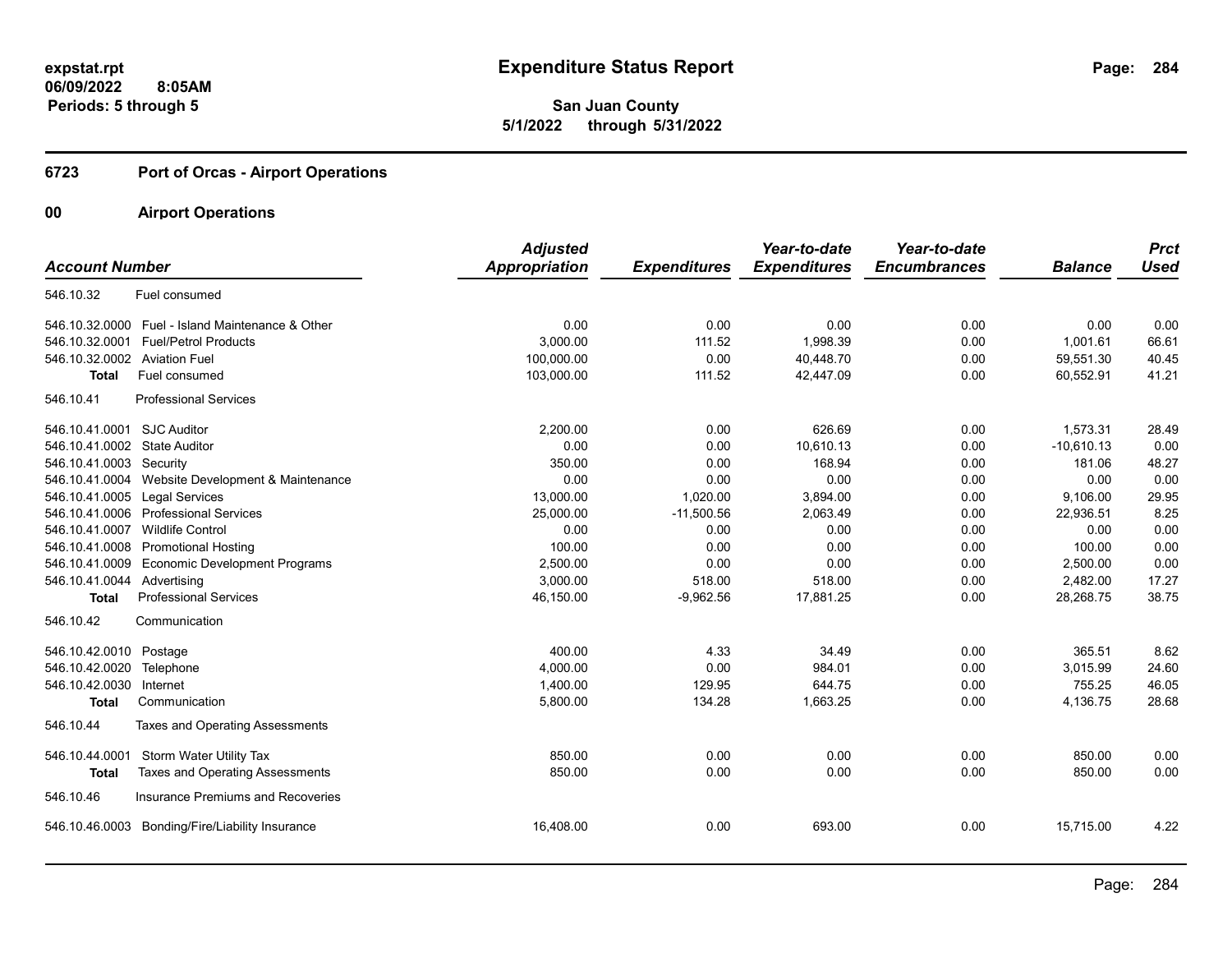# **6723 Port of Orcas - Airport Operations**

|                               |                                                  | <b>Adjusted</b>      |                     | Year-to-date        | Year-to-date        |                | <b>Prct</b> |
|-------------------------------|--------------------------------------------------|----------------------|---------------------|---------------------|---------------------|----------------|-------------|
| <b>Account Number</b>         |                                                  | <b>Appropriation</b> | <b>Expenditures</b> | <b>Expenditures</b> | <b>Encumbrances</b> | <b>Balance</b> | <b>Used</b> |
| 546.10.32                     | Fuel consumed                                    |                      |                     |                     |                     |                |             |
|                               | 546.10.32.0000 Fuel - Island Maintenance & Other | 0.00                 | 0.00                | 0.00                | 0.00                | 0.00           | 0.00        |
|                               | 546.10.32.0001 Fuel/Petrol Products              | 3,000.00             | 111.52              | 1,998.39            | 0.00                | 1,001.61       | 66.61       |
| 546.10.32.0002 Aviation Fuel  |                                                  | 100,000.00           | 0.00                | 40,448.70           | 0.00                | 59,551.30      | 40.45       |
| <b>Total</b>                  | Fuel consumed                                    | 103,000.00           | 111.52              | 42,447.09           | 0.00                | 60,552.91      | 41.21       |
| 546.10.41                     | <b>Professional Services</b>                     |                      |                     |                     |                     |                |             |
| 546.10.41.0001 SJC Auditor    |                                                  | 2,200.00             | 0.00                | 626.69              | 0.00                | 1,573.31       | 28.49       |
| 546.10.41.0002 State Auditor  |                                                  | 0.00                 | 0.00                | 10,610.13           | 0.00                | $-10,610.13$   | 0.00        |
| 546.10.41.0003 Security       |                                                  | 350.00               | 0.00                | 168.94              | 0.00                | 181.06         | 48.27       |
|                               | 546.10.41.0004 Website Development & Maintenance | 0.00                 | 0.00                | 0.00                | 0.00                | 0.00           | 0.00        |
| 546.10.41.0005 Legal Services |                                                  | 13,000.00            | 1,020.00            | 3,894.00            | 0.00                | 9,106.00       | 29.95       |
|                               | 546.10.41.0006 Professional Services             | 25,000.00            | $-11,500.56$        | 2,063.49            | 0.00                | 22,936.51      | 8.25        |
| 546.10.41.0007                | <b>Wildlife Control</b>                          | 0.00                 | 0.00                | 0.00                | 0.00                | 0.00           | 0.00        |
|                               | 546.10.41.0008 Promotional Hosting               | 100.00               | 0.00                | 0.00                | 0.00                | 100.00         | 0.00        |
|                               | 546.10.41.0009 Economic Development Programs     | 2,500.00             | 0.00                | 0.00                | 0.00                | 2,500.00       | 0.00        |
| 546.10.41.0044 Advertising    |                                                  | 3,000.00             | 518.00              | 518.00              | 0.00                | 2,482.00       | 17.27       |
| <b>Total</b>                  | <b>Professional Services</b>                     | 46,150.00            | $-9,962.56$         | 17,881.25           | 0.00                | 28,268.75      | 38.75       |
| 546.10.42                     | Communication                                    |                      |                     |                     |                     |                |             |
| 546.10.42.0010 Postage        |                                                  | 400.00               | 4.33                | 34.49               | 0.00                | 365.51         | 8.62        |
| 546.10.42.0020                | Telephone                                        | 4,000.00             | 0.00                | 984.01              | 0.00                | 3,015.99       | 24.60       |
| 546.10.42.0030                | Internet                                         | 1,400.00             | 129.95              | 644.75              | 0.00                | 755.25         | 46.05       |
| <b>Total</b>                  | Communication                                    | 5,800.00             | 134.28              | 1,663.25            | 0.00                | 4,136.75       | 28.68       |
| 546.10.44                     | Taxes and Operating Assessments                  |                      |                     |                     |                     |                |             |
| 546.10.44.0001                | Storm Water Utility Tax                          | 850.00               | 0.00                | 0.00                | 0.00                | 850.00         | 0.00        |
| <b>Total</b>                  | Taxes and Operating Assessments                  | 850.00               | 0.00                | 0.00                | 0.00                | 850.00         | 0.00        |
| 546.10.46                     | Insurance Premiums and Recoveries                |                      |                     |                     |                     |                |             |
|                               | 546.10.46.0003 Bonding/Fire/Liability Insurance  | 16,408.00            | 0.00                | 693.00              | 0.00                | 15,715.00      | 4.22        |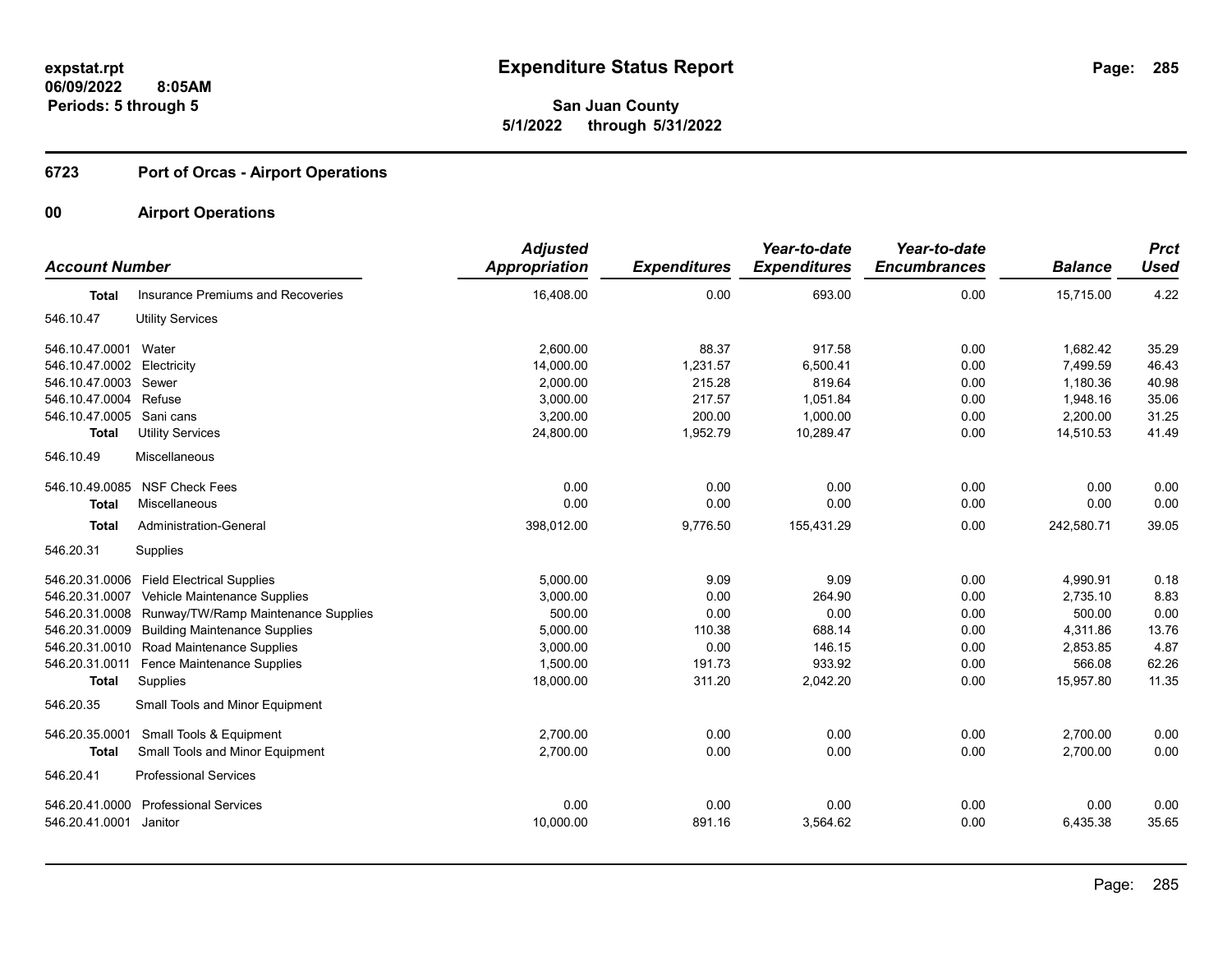# **6723 Port of Orcas - Airport Operations**

| <b>Account Number</b>      |                                                    | <b>Adjusted</b><br><b>Appropriation</b> | <b>Expenditures</b> | Year-to-date<br><b>Expenditures</b> | Year-to-date<br><b>Encumbrances</b> | <b>Balance</b> | <b>Prct</b><br><b>Used</b> |
|----------------------------|----------------------------------------------------|-----------------------------------------|---------------------|-------------------------------------|-------------------------------------|----------------|----------------------------|
| <b>Total</b>               | Insurance Premiums and Recoveries                  | 16,408.00                               | 0.00                | 693.00                              | 0.00                                | 15,715.00      | 4.22                       |
| 546.10.47                  | <b>Utility Services</b>                            |                                         |                     |                                     |                                     |                |                            |
| 546.10.47.0001             | Water                                              | 2.600.00                                | 88.37               | 917.58                              | 0.00                                | 1,682.42       | 35.29                      |
| 546.10.47.0002 Electricity |                                                    | 14,000.00                               | 1,231.57            | 6,500.41                            | 0.00                                | 7,499.59       | 46.43                      |
| 546.10.47.0003 Sewer       |                                                    | 2,000.00                                | 215.28              | 819.64                              | 0.00                                | 1,180.36       | 40.98                      |
| 546.10.47.0004 Refuse      |                                                    | 3,000.00                                | 217.57              | 1,051.84                            | 0.00                                | 1,948.16       | 35.06                      |
| 546.10.47.0005 Sani cans   |                                                    | 3,200.00                                | 200.00              | 1,000.00                            | 0.00                                | 2,200.00       | 31.25                      |
| <b>Total</b>               | <b>Utility Services</b>                            | 24,800.00                               | 1,952.79            | 10,289.47                           | 0.00                                | 14,510.53      | 41.49                      |
| 546.10.49                  | Miscellaneous                                      |                                         |                     |                                     |                                     |                |                            |
|                            | 546.10.49.0085 NSF Check Fees                      | 0.00                                    | 0.00                | 0.00                                | 0.00                                | 0.00           | 0.00                       |
| <b>Total</b>               | Miscellaneous                                      | 0.00                                    | 0.00                | 0.00                                | 0.00                                | 0.00           | 0.00                       |
| <b>Total</b>               | Administration-General                             | 398,012.00                              | 9,776.50            | 155,431.29                          | 0.00                                | 242,580.71     | 39.05                      |
| 546.20.31                  | Supplies                                           |                                         |                     |                                     |                                     |                |                            |
|                            | 546.20.31.0006 Field Electrical Supplies           | 5,000.00                                | 9.09                | 9.09                                | 0.00                                | 4,990.91       | 0.18                       |
| 546.20.31.0007             | Vehicle Maintenance Supplies                       | 3,000.00                                | 0.00                | 264.90                              | 0.00                                | 2,735.10       | 8.83                       |
|                            | 546.20.31.0008 Runway/TW/Ramp Maintenance Supplies | 500.00                                  | 0.00                | 0.00                                | 0.00                                | 500.00         | 0.00                       |
|                            | 546.20.31.0009 Building Maintenance Supplies       | 5,000.00                                | 110.38              | 688.14                              | 0.00                                | 4,311.86       | 13.76                      |
|                            | 546.20.31.0010 Road Maintenance Supplies           | 3,000.00                                | 0.00                | 146.15                              | 0.00                                | 2,853.85       | 4.87                       |
| 546.20.31.0011             | <b>Fence Maintenance Supplies</b>                  | 1,500.00                                | 191.73              | 933.92                              | 0.00                                | 566.08         | 62.26                      |
| <b>Total</b>               | Supplies                                           | 18,000.00                               | 311.20              | 2,042.20                            | 0.00                                | 15,957.80      | 11.35                      |
| 546.20.35                  | Small Tools and Minor Equipment                    |                                         |                     |                                     |                                     |                |                            |
| 546.20.35.0001             | Small Tools & Equipment                            | 2,700.00                                | 0.00                | 0.00                                | 0.00                                | 2.700.00       | 0.00                       |
| <b>Total</b>               | Small Tools and Minor Equipment                    | 2,700.00                                | 0.00                | 0.00                                | 0.00                                | 2,700.00       | 0.00                       |
| 546.20.41                  | <b>Professional Services</b>                       |                                         |                     |                                     |                                     |                |                            |
| 546.20.41.0000             | <b>Professional Services</b>                       | 0.00                                    | 0.00                | 0.00                                | 0.00                                | 0.00           | 0.00                       |
| 546.20.41.0001             | Janitor                                            | 10,000.00                               | 891.16              | 3,564.62                            | 0.00                                | 6,435.38       | 35.65                      |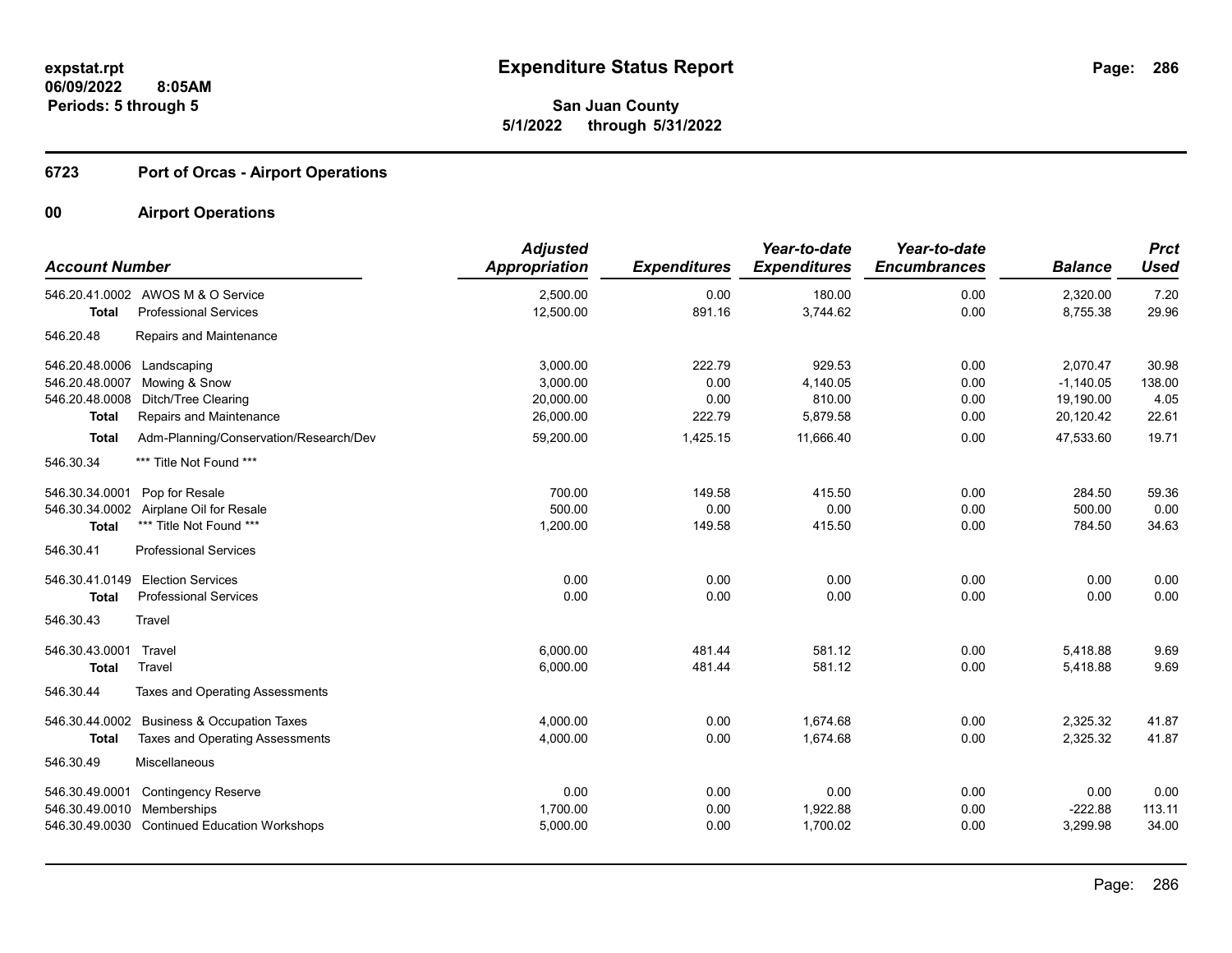# **6723 Port of Orcas - Airport Operations**

| <b>Account Number</b>                            |                                                                                           | <b>Adjusted</b><br><b>Appropriation</b> | <b>Expenditures</b>      | Year-to-date<br><b>Expenditures</b> | Year-to-date<br><b>Encumbrances</b> | <b>Balance</b>                | <b>Prct</b><br><b>Used</b> |
|--------------------------------------------------|-------------------------------------------------------------------------------------------|-----------------------------------------|--------------------------|-------------------------------------|-------------------------------------|-------------------------------|----------------------------|
| <b>Total</b>                                     | 546.20.41.0002 AWOS M & O Service<br><b>Professional Services</b>                         | 2,500.00<br>12,500.00                   | 0.00<br>891.16           | 180.00<br>3,744.62                  | 0.00<br>0.00                        | 2,320.00<br>8,755.38          | 7.20<br>29.96              |
| 546.20.48                                        | Repairs and Maintenance                                                                   |                                         |                          |                                     |                                     |                               |                            |
| 546.20.48.0006<br>546.20.48.0007                 | Landscaping<br>Mowing & Snow                                                              | 3,000.00<br>3,000.00                    | 222.79<br>0.00           | 929.53<br>4,140.05                  | 0.00<br>0.00                        | 2,070.47<br>$-1,140.05$       | 30.98<br>138.00            |
| 546.20.48.0008<br><b>Total</b>                   | Ditch/Tree Clearing<br>Repairs and Maintenance                                            | 20,000.00<br>26,000.00                  | 0.00<br>222.79           | 810.00<br>5,879.58                  | 0.00<br>0.00                        | 19,190.00<br>20,120.42        | 4.05<br>22.61              |
| <b>Total</b>                                     | Adm-Planning/Conservation/Research/Dev                                                    | 59,200.00                               | 1,425.15                 | 11,666.40                           | 0.00                                | 47,533.60                     | 19.71                      |
| 546.30.34                                        | *** Title Not Found ***                                                                   |                                         |                          |                                     |                                     |                               |                            |
| 546.30.34.0001<br>546.30.34.0002<br><b>Total</b> | Pop for Resale<br>Airplane Oil for Resale<br>*** Title Not Found ***                      | 700.00<br>500.00<br>1,200.00            | 149.58<br>0.00<br>149.58 | 415.50<br>0.00<br>415.50            | 0.00<br>0.00<br>0.00                | 284.50<br>500.00<br>784.50    | 59.36<br>0.00<br>34.63     |
| 546.30.41                                        | <b>Professional Services</b>                                                              |                                         |                          |                                     |                                     |                               |                            |
| 546.30.41.0149<br><b>Total</b><br>546.30.43      | <b>Election Services</b><br><b>Professional Services</b><br>Travel                        | 0.00<br>0.00                            | 0.00<br>0.00             | 0.00<br>0.00                        | 0.00<br>0.00                        | 0.00<br>0.00                  | 0.00<br>0.00               |
| 546.30.43.0001<br><b>Total</b><br>546.30.44      | Travel<br>Travel<br><b>Taxes and Operating Assessments</b>                                | 6.000.00<br>6,000.00                    | 481.44<br>481.44         | 581.12<br>581.12                    | 0.00<br>0.00                        | 5,418.88<br>5,418.88          | 9.69<br>9.69               |
| 546.30.44.0002<br><b>Total</b>                   | <b>Business &amp; Occupation Taxes</b><br>Taxes and Operating Assessments                 | 4,000.00<br>4,000.00                    | 0.00<br>0.00             | 1.674.68<br>1,674.68                | 0.00<br>0.00                        | 2,325.32<br>2,325.32          | 41.87<br>41.87             |
| 546.30.49                                        | Miscellaneous                                                                             |                                         |                          |                                     |                                     |                               |                            |
| 546.30.49.0001<br>546.30.49.0010                 | <b>Contingency Reserve</b><br>Memberships<br>546.30.49.0030 Continued Education Workshops | 0.00<br>1,700.00<br>5,000.00            | 0.00<br>0.00<br>0.00     | 0.00<br>1,922.88<br>1,700.02        | 0.00<br>0.00<br>0.00                | 0.00<br>$-222.88$<br>3,299.98 | 0.00<br>113.11<br>34.00    |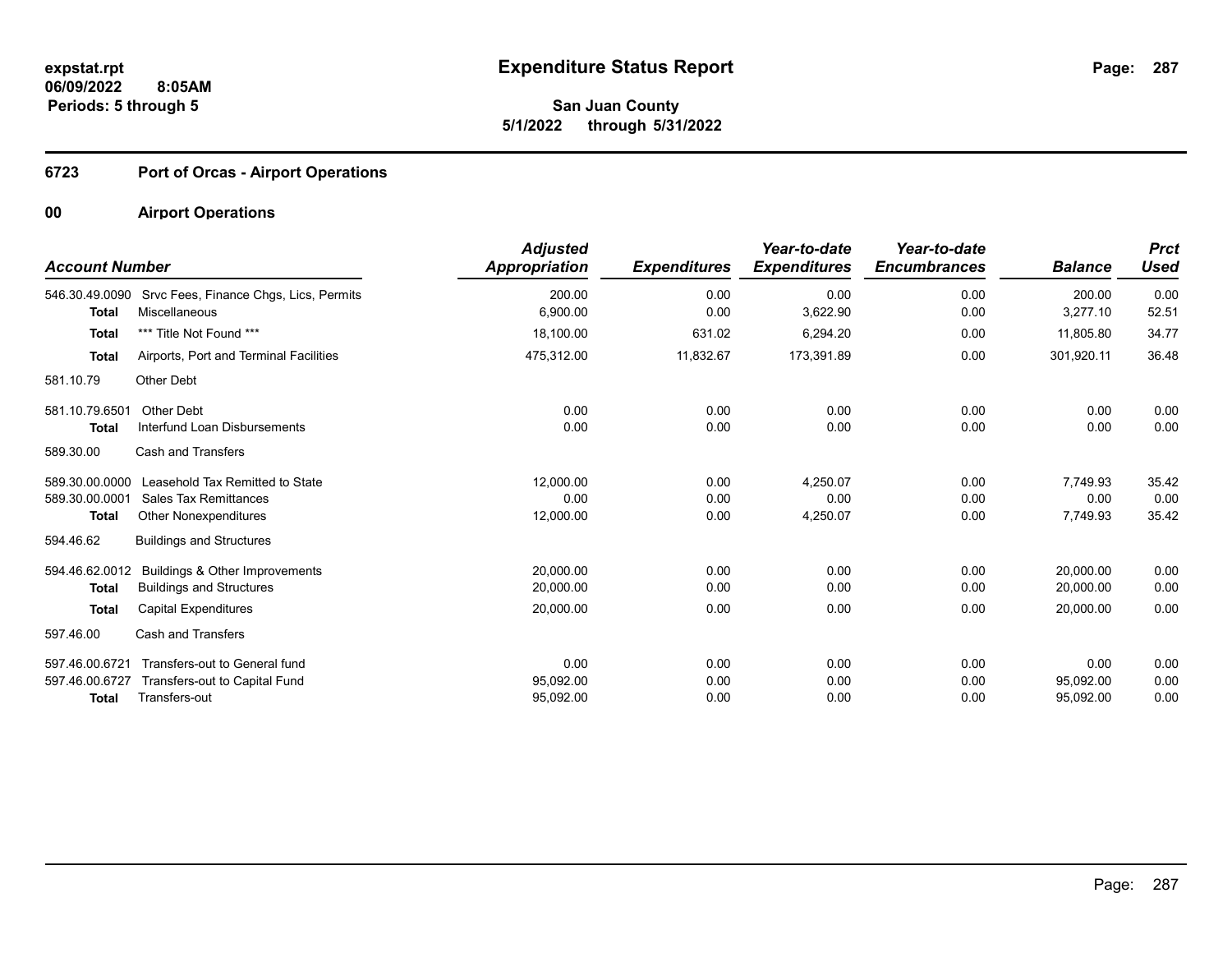# **6723 Port of Orcas - Airport Operations**

| <b>Account Number</b>          |                                                         | <b>Adjusted</b><br><b>Appropriation</b> | <b>Expenditures</b> | Year-to-date<br><b>Expenditures</b> | Year-to-date<br><b>Encumbrances</b> | <b>Balance</b>     | <b>Prct</b><br>Used |
|--------------------------------|---------------------------------------------------------|-----------------------------------------|---------------------|-------------------------------------|-------------------------------------|--------------------|---------------------|
| 546.30.49.0090<br><b>Total</b> | Srvc Fees, Finance Chgs, Lics, Permits<br>Miscellaneous | 200.00<br>6,900.00                      | 0.00<br>0.00        | 0.00<br>3,622.90                    | 0.00<br>0.00                        | 200.00<br>3,277.10 | 0.00<br>52.51       |
| <b>Total</b>                   | *** Title Not Found ***                                 | 18,100.00                               | 631.02              | 6,294.20                            | 0.00                                | 11,805.80          | 34.77               |
| <b>Total</b>                   | Airports, Port and Terminal Facilities                  | 475,312.00                              | 11,832.67           | 173,391.89                          | 0.00                                | 301,920.11         | 36.48               |
| 581.10.79                      | Other Debt                                              |                                         |                     |                                     |                                     |                    |                     |
| 581.10.79.6501                 | Other Debt                                              | 0.00                                    | 0.00                | 0.00                                | 0.00                                | 0.00               | 0.00                |
| <b>Total</b>                   | Interfund Loan Disbursements                            | 0.00                                    | 0.00                | 0.00                                | 0.00                                | 0.00               | 0.00                |
| 589.30.00                      | Cash and Transfers                                      |                                         |                     |                                     |                                     |                    |                     |
| 589.30.00.0000                 | Leasehold Tax Remitted to State                         | 12,000.00                               | 0.00                | 4,250.07                            | 0.00                                | 7,749.93           | 35.42               |
| 589.30.00.0001                 | <b>Sales Tax Remittances</b>                            | 0.00                                    | 0.00                | 0.00                                | 0.00                                | 0.00               | 0.00                |
| <b>Total</b>                   | <b>Other Nonexpenditures</b>                            | 12,000.00                               | 0.00                | 4,250.07                            | 0.00                                | 7,749.93           | 35.42               |
| 594.46.62                      | <b>Buildings and Structures</b>                         |                                         |                     |                                     |                                     |                    |                     |
| 594.46.62.0012                 | Buildings & Other Improvements                          | 20.000.00                               | 0.00                | 0.00                                | 0.00                                | 20.000.00          | 0.00                |
| <b>Total</b>                   | <b>Buildings and Structures</b>                         | 20,000.00                               | 0.00                | 0.00                                | 0.00                                | 20,000.00          | 0.00                |
| <b>Total</b>                   | <b>Capital Expenditures</b>                             | 20,000.00                               | 0.00                | 0.00                                | 0.00                                | 20,000.00          | 0.00                |
| 597.46.00                      | Cash and Transfers                                      |                                         |                     |                                     |                                     |                    |                     |
| 597.46.00.6721                 | Transfers-out to General fund                           | 0.00                                    | 0.00                | 0.00                                | 0.00                                | 0.00               | 0.00                |
| 597.46.00.6727                 | Transfers-out to Capital Fund                           | 95,092.00                               | 0.00                | 0.00                                | 0.00                                | 95,092.00          | 0.00                |
| <b>Total</b>                   | Transfers-out                                           | 95,092.00                               | 0.00                | 0.00                                | 0.00                                | 95,092.00          | 0.00                |